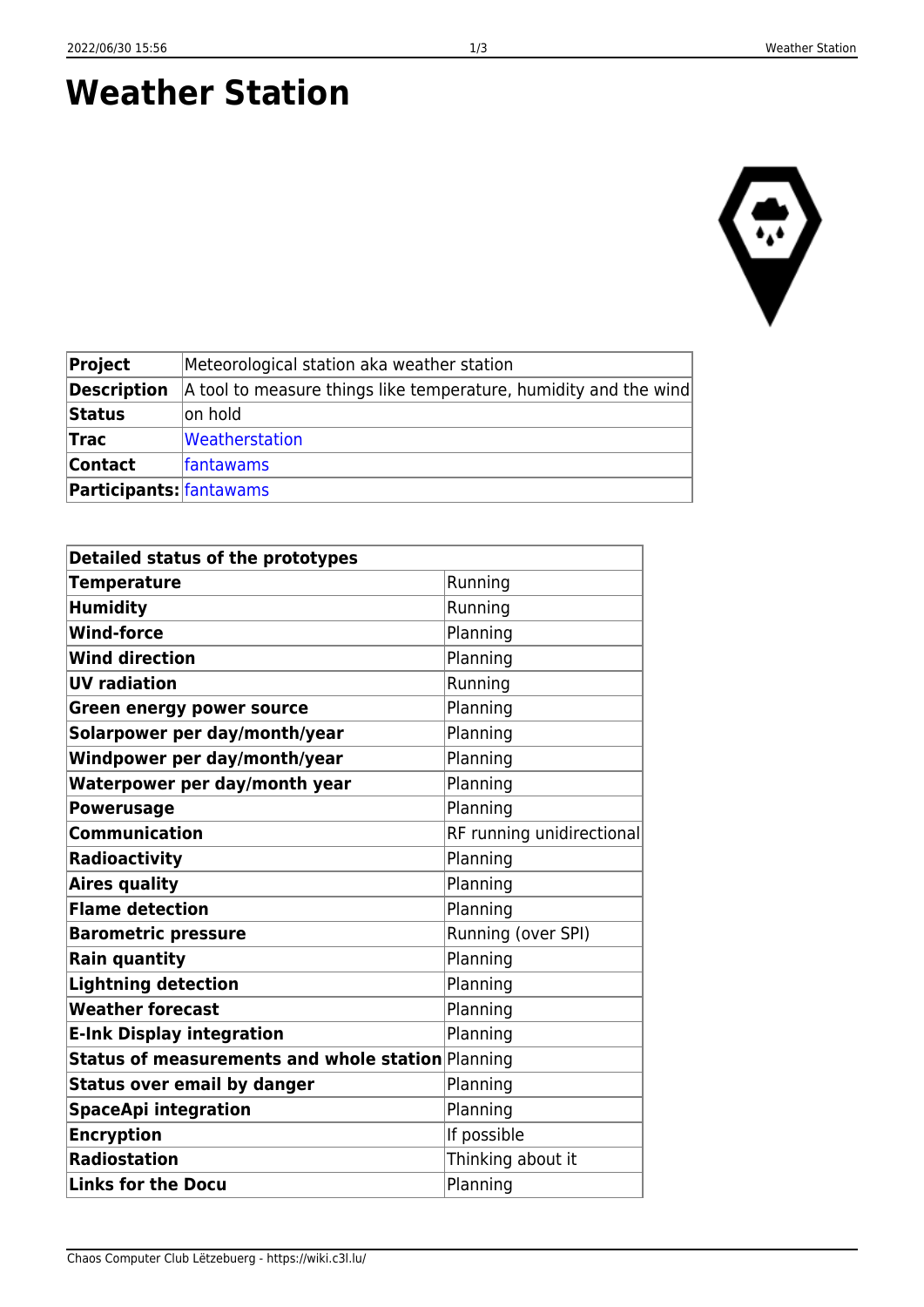Chaos Computer Club Lëtzebuerg - https://wiki.c3l.lu/

**Status** on hold

**Trac** [Weatherstation](https://trac.c3l.lu/Weatherstation) **Contact** [fantawams](https://wiki.c3l.lu/doku.php?id=user:fantawams) **Participants:** [fantawams](https://wiki.c3l.lu/doku.php?id=user:fantawams)

**Weather Station**

| Project            | Meteorological station aka weather station                       |
|--------------------|------------------------------------------------------------------|
| <b>Description</b> | A tool to measure things like temperature, humidity and the wind |

| Detailed status of the prototypes                 |                           |
|---------------------------------------------------|---------------------------|
| <b>Temperature</b>                                | Running                   |
| <b>Humidity</b>                                   | Running                   |
| <b>Wind-force</b>                                 | Planning                  |
| <b>Wind direction</b>                             | Planning                  |
| <b>UV radiation</b>                               | Running                   |
| <b>Green energy power source</b>                  | Planning                  |
| Solarpower per day/month/year                     | Planning                  |
| Windpower per day/month/year                      | Planning                  |
| Waterpower per day/month year                     | Planning                  |
| <b>Powerusage</b>                                 | Planning                  |
| <b>Communication</b>                              | RF running unidirectional |
| Radioactivity                                     | Planning                  |
| <b>Aires quality</b>                              | Planning                  |
| <b>Flame detection</b>                            | Planning                  |
| <b>Barometric pressure</b>                        | Running (over SPI)        |
| <b>Rain quantity</b>                              | Planning                  |
| <b>Lightning detection</b>                        | Planning                  |
| <b>Weather forecast</b>                           | Planning                  |
| <b>E-Ink Display integration</b>                  | Planning                  |
| Status of measurements and whole station Planning |                           |
| <b>Status over email by danger</b>                | Planning                  |
| <b>SpaceApi integration</b>                       | Planning                  |
| <b>Encryption</b>                                 | If possible               |
| <b>Radiostation</b>                               | Thinking about it         |
| <b>Links for the Docu</b>                         | Planning                  |

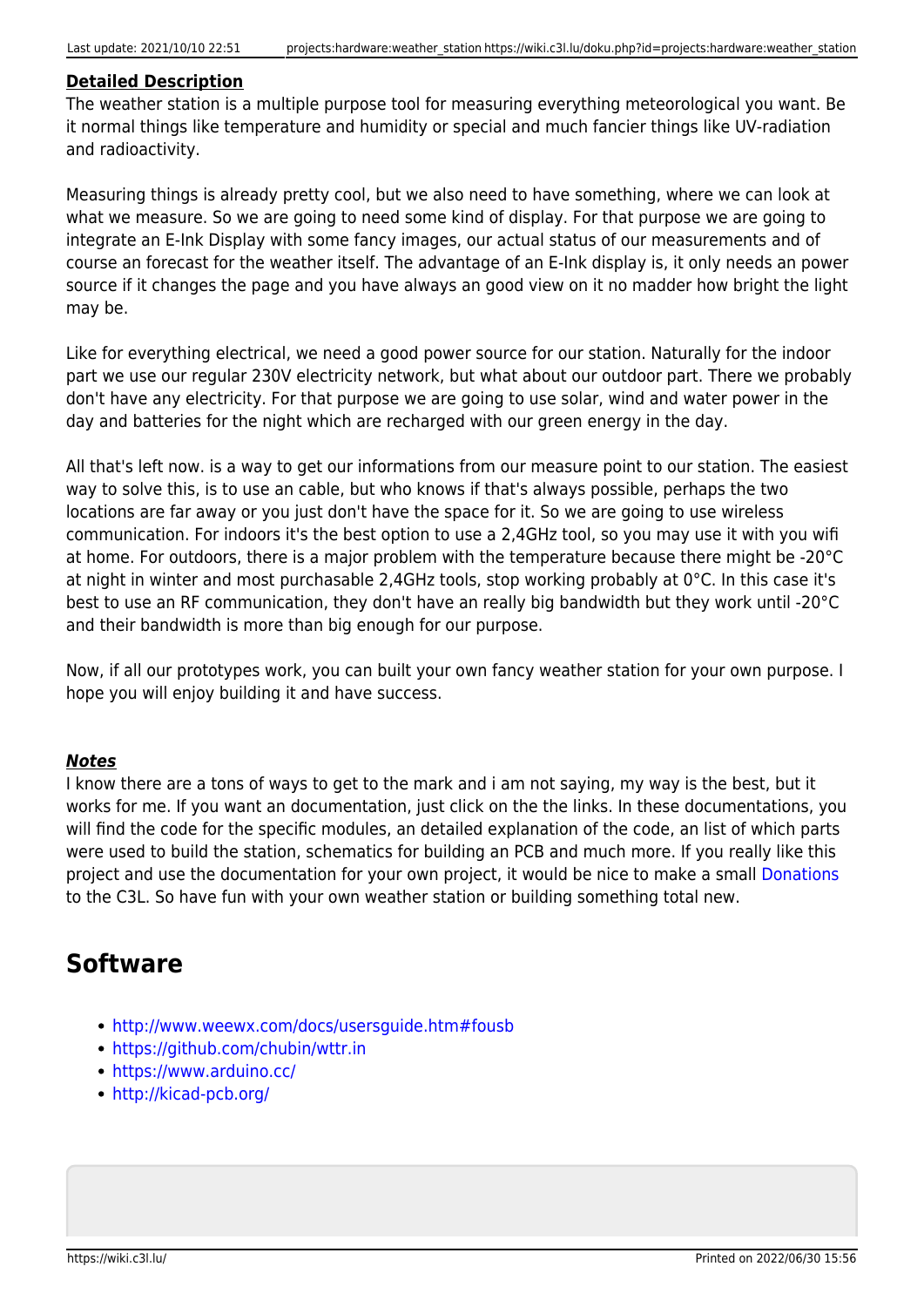## **Detailed Description**

The weather station is a multiple purpose tool for measuring everything meteorological you want. Be it normal things like temperature and humidity or special and much fancier things like UV-radiation and radioactivity.

Measuring things is already pretty cool, but we also need to have something, where we can look at what we measure. So we are going to need some kind of display. For that purpose we are going to integrate an E-Ink Display with some fancy images, our actual status of our measurements and of course an forecast for the weather itself. The advantage of an E-Ink display is, it only needs an power source if it changes the page and you have always an good view on it no madder how bright the light may be.

Like for everything electrical, we need a good power source for our station. Naturally for the indoor part we use our regular 230V electricity network, but what about our outdoor part. There we probably don't have any electricity. For that purpose we are going to use solar, wind and water power in the day and batteries for the night which are recharged with our green energy in the day.

All that's left now. is a way to get our informations from our measure point to our station. The easiest way to solve this, is to use an cable, but who knows if that's always possible, perhaps the two locations are far away or you just don't have the space for it. So we are going to use wireless communication. For indoors it's the best option to use a 2,4GHz tool, so you may use it with you wifi at home. For outdoors, there is a major problem with the temperature because there might be -20°C at night in winter and most purchasable 2,4GHz tools, stop working probably at 0°C. In this case it's best to use an RF communication, they don't have an really big bandwidth but they work until -20°C and their bandwidth is more than big enough for our purpose.

Now, if all our prototypes work, you can built your own fancy weather station for your own purpose. I hope you will enjoy building it and have success.

## *Notes*

I know there are a tons of ways to get to the mark and i am not saying, my way is the best, but it works for me. If you want an documentation, just click on the the links. In these documentations, you will find the code for the specific modules, an detailed explanation of the code, an list of which parts were used to build the station, schematics for building an PCB and much more. If you really like this project and use the documentation for your own project, it would be nice to make a small [Donations](https://wiki.c3l.lu/doku.php?id=organization:donation) to the C3L. So have fun with your own weather station or building something total new.

## **Software**

- <http://www.weewx.com/docs/usersguide.htm#fousb>
- <https://github.com/chubin/wttr.in>
- <https://www.arduino.cc/>
- <http://kicad-pcb.org/>